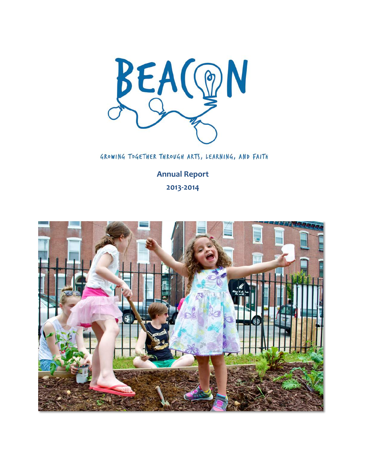

GROWING TOGETHER THROUGH ARTS, LEARNING, AND FAITH

**Annual Report 2013-2014** 

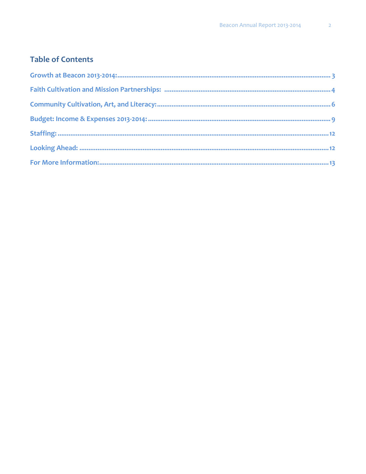### **Table of Contents**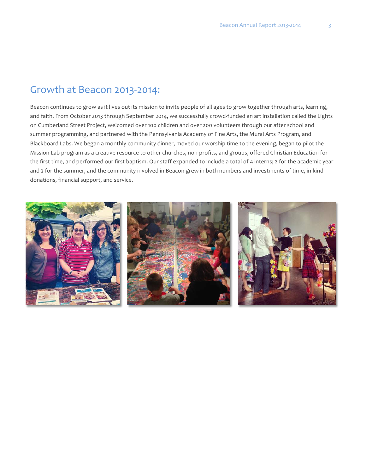### Growth at Beacon 2013-2014:

Beacon continues to grow as it lives out its mission to invite people of all ages to grow together through arts, learning, and faith. From October 2013 through September 2014, we successfully crowd-funded an art installation called the Lights on Cumberland Street Project, welcomed over 100 children and over 200 volunteers through our after school and summer programming, and partnered with the Pennsylvania Academy of Fine Arts, the Mural Arts Program, and Blackboard Labs. We began a monthly community dinner, moved our worship time to the evening, began to pilot the Mission Lab program as a creative resource to other churches, non-profits, and groups, offered Christian Education for the first time, and performed our first baptism. Our staff expanded to include a total of 4 interns; 2 for the academic year and 2 for the summer, and the community involved in Beacon grew in both numbers and investments of time, in-kind donations, financial support, and service.

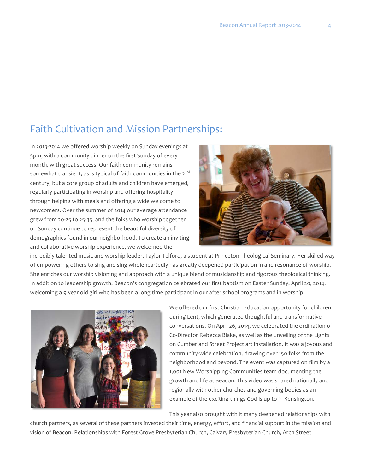# Faith Cultivation and Mission Partnerships:

In 2013-2014 we offered worship weekly on Sunday evenings at 5pm, with a community dinner on the first Sunday of every month, with great success. Our faith community remains somewhat transient, as is typical of faith communities in the 21<sup>st</sup> century, but a core group of adults and children have emerged, regularly participating in worship and offering hospitality through helping with meals and offering a wide welcome to newcomers. Over the summer of 2014 our average attendance grew from 20-25 to 25-35, and the folks who worship together on Sunday continue to represent the beautiful diversity of demographics found in our neighborhood. To create an inviting and collaborative worship experience, we welcomed the



incredibly talented music and worship leader, Taylor Telford, a student at Princeton Theological Seminary. Her skilled way of empowering others to sing and sing wholeheartedly has greatly deepened participation in and resonance of worship. She enriches our worship visioning and approach with a unique blend of musicianship and rigorous theological thinking. In addition to leadership growth, Beacon's congregation celebrated our first baptism on Easter Sunday, April 20, 2014, welcoming a 9 year old girl who has been a long time participant in our after school programs and in worship.



We offered our first Christian Education opportunity for children during Lent, which generated thoughtful and transformative conversations. On April 26, 2014, we celebrated the ordination of Co-Director Rebecca Blake, as well as the unveiling of the Lights on Cumberland Street Project art installation. It was a joyous and community-wide celebration, drawing over 150 folks from the neighborhood and beyond. The event was captured on film by a 1,001 New Worshipping Communities team documenting the growth and life at Beacon. This video was shared nationally and regionally with other churches and governing bodies as an example of the exciting things God is up to in Kensington.

This year also brought with it many deepened relationships with

church partners, as several of these partners invested their time, energy, effort, and financial support in the mission and vision of Beacon. Relationships with Forest Grove Presbyterian Church, Calvary Presbyterian Church, Arch Street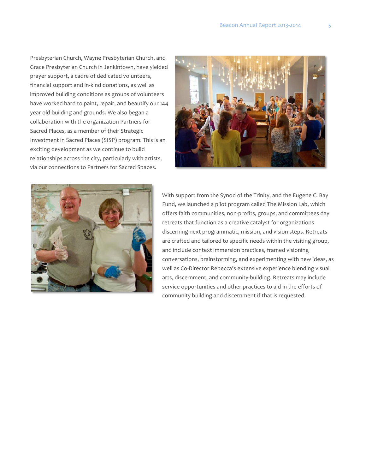Presbyterian Church, Wayne Presbyterian Church, and Grace Presbyterian Church in Jenkintown, have yielded prayer support, a cadre of dedicated volunteers, financial support and in-kind donations, as well as improved building conditions as groups of volunteers have worked hard to paint, repair, and beautify our 144 year old building and grounds. We also began a collaboration with the organization Partners for Sacred Places, as a member of their Strategic Investment in Sacred Places (SISP) program. This is an exciting development as we continue to build relationships across the city, particularly with artists, via our connections to Partners for Sacred Spaces.





With support from the Synod of the Trinity, and the Eugene C. Bay Fund, we launched a pilot program called The Mission Lab, which offers faith communities, non-profits, groups, and committees day retreats that function as a creative catalyst for organizations discerning next programmatic, mission, and vision steps. Retreats are crafted and tailored to specific needs within the visiting group, and include context immersion practices, framed visioning conversations, brainstorming, and experimenting with new ideas, as well as Co-Director Rebecca's extensive experience blending visual arts, discernment, and community-building. Retreats may include service opportunities and other practices to aid in the efforts of community building and discernment if that is requested.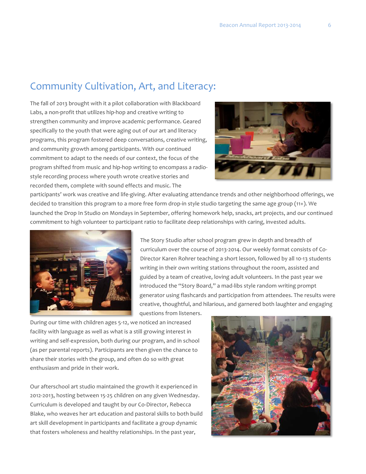### Community Cultivation, Art, and Literacy:

The fall of 2013 brought with it a pilot collaboration with Blackboard Labs, a non-profit that utilizes hip-hop and creative writing to strengthen community and improve academic performance. Geared specifically to the youth that were aging out of our art and literacy programs, this program fostered deep conversations, creative writing, and community growth among participants. With our continued commitment to adapt to the needs of our context, the focus of the program shifted from music and hip-hop writing to encompass a radiostyle recording process where youth wrote creative stories and recorded them, complete with sound effects and music. The



participants' work was creative and life-giving. After evaluating attendance trends and other neighborhood offerings, we decided to transition this program to a more free form drop-in style studio targeting the same age group (11+). We launched the Drop In Studio on Mondays in September, offering homework help, snacks, art projects, and our continued commitment to high volunteer to participant ratio to facilitate deep relationships with caring, invested adults.



The Story Studio after school program grew in depth and breadth of curriculum over the course of 2013-2014. Our weekly format consists of Co-Director Karen Rohrer teaching a short lesson, followed by all 10-13 students writing in their own writing stations throughout the room, assisted and guided by a team of creative, loving adult volunteers. In the past year we introduced the "Story Board," a mad-libs style random writing prompt generator using flashcards and participation from attendees. The results were creative, thoughtful, and hilarious, and garnered both laughter and engaging questions from listeners.

During our time with children ages 5-12, we noticed an increased facility with language as well as what is a still growing interest in writing and self-expression, both during our program, and in school (as per parental reports). Participants are then given the chance to share their stories with the group, and often do so with great enthusiasm and pride in their work.

Our afterschool art studio maintained the growth it experienced in 2012-2013, hosting between 15-25 children on any given Wednesday. Curriculum is developed and taught by our Co-Director, Rebecca Blake, who weaves her art education and pastoral skills to both build art skill development in participants and facilitate a group dynamic that fosters wholeness and healthy relationships. In the past year,

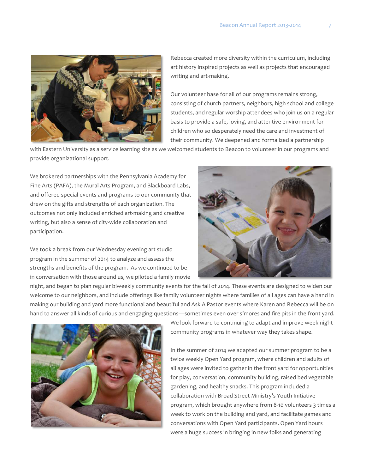

Rebecca created more diversity within the curriculum, including art history inspired projects as well as projects that encouraged writing and art-making.

Our volunteer base for all of our programs remains strong, consisting of church partners, neighbors, high school and college students, and regular worship attendees who join us on a regular basis to provide a safe, loving, and attentive environment for children who so desperately need the care and investment of their community. We deepened and formalized a partnership

with Eastern University as a service learning site as we welcomed students to Beacon to volunteer in our programs and provide organizational support.

We brokered partnerships with the Pennsylvania Academy for Fine Arts (PAFA), the Mural Arts Program, and Blackboard Labs, and offered special events and programs to our community that drew on the gifts and strengths of each organization. The outcomes not only included enriched art-making and creative writing, but also a sense of city-wide collaboration and participation.

We took a break from our Wednesday evening art studio program in the summer of 2014 to analyze and assess the strengths and benefits of the program. As we continued to be in conversation with those around us, we piloted a family movie



night, and began to plan regular biweekly community events for the fall of 2014. These events are designed to widen our welcome to our neighbors, and include offerings like family volunteer nights where families of all ages can have a hand in making our building and yard more functional and beautiful and Ask A Pastor events where Karen and Rebecca will be on hand to answer all kinds of curious and engaging questions—sometimes even over s'mores and fire pits in the front yard.



We look forward to continuing to adapt and improve week night community programs in whatever way they takes shape.

In the summer of 2014 we adapted our summer program to be a twice weekly Open Yard program, where children and adults of all ages were invited to gather in the front yard for opportunities for play, conversation, community building, raised bed vegetable gardening, and healthy snacks. This program included a collaboration with Broad Street Ministry's Youth Initiative program, which brought anywhere from 8-10 volunteers 3 times a week to work on the building and yard, and facilitate games and conversations with Open Yard participants. Open Yard hours were a huge success in bringing in new folks and generating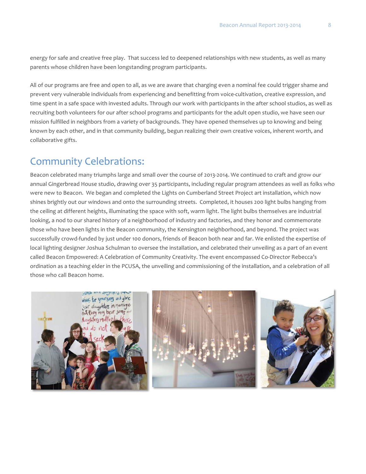energy for safe and creative free play. That success led to deepened relationships with new students, as well as many parents whose children have been longstanding program participants.

All of our programs are free and open to all, as we are aware that charging even a nominal fee could trigger shame and prevent very vulnerable individuals from experiencing and benefitting from voice-cultivation, creative expression, and time spent in a safe space with invested adults. Through our work with participants in the after school studios, as well as recruiting both volunteers for our after school programs and participants for the adult open studio, we have seen our mission fulfilled in neighbors from a variety of backgrounds. They have opened themselves up to knowing and being known by each other, and in that community building, begun realizing their own creative voices, inherent worth, and collaborative gifts.

### **Community Celebrations:**

Beacon celebrated many triumphs large and small over the course of 2013-2014. We continued to craft and grow our annual Gingerbread House studio, drawing over 35 participants, including regular program attendees as well as folks who were new to Beacon. We began and completed the Lights on Cumberland Street Project art installation, which now shines brightly out our windows and onto the surrounding streets. Completed, it houses 200 light bulbs hanging from the ceiling at different heights, illuminating the space with soft, warm light. The light bulbs themselves are industrial looking, a nod to our shared history of a neighborhood of industry and factories, and they honor and commemorate those who have been lights in the Beacon community, the Kensington neighborhood, and beyond. The project was successfully crowd-funded by just under 100 donors, friends of Beacon both near and far. We enlisted the expertise of local lighting designer Joshua Schulman to oversee the installation, and celebrated their unveiling as a part of an event called Beacon Empowered: A Celebration of Community Creativity. The event encompassed Co-Director Rebecca's ordination as a teaching elder in the PCUSA, the unveiling and commissioning of the installation, and a celebration of all those who call Beacon home.

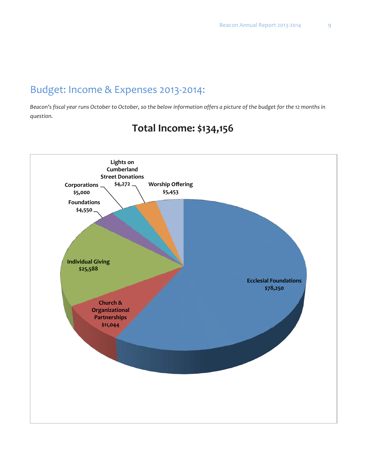# Budget: Income & Expenses 2013-2014:

*Beacon's fiscal year runs October to October, so the below information offers a picture of the budget for the 12 months in question.*



# **Total Income: \$134,156**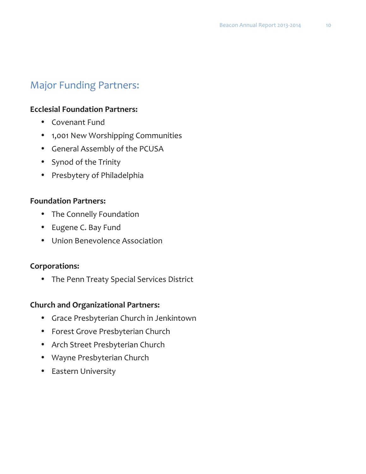# Major Funding Partners:

### **Ecclesial Foundation Partners:**

- Covenant Fund
- 1,001 New Worshipping Communities
- General Assembly of the PCUSA
- Synod of the Trinity
- Presbytery of Philadelphia

#### **Foundation Partners:**

- The Connelly Foundation
- Eugene C. Bay Fund
- Union Benevolence Association

### **Corporations:**

• The Penn Treaty Special Services District

### **Church and Organizational Partners:**

- Grace Presbyterian Church in Jenkintown
- Forest Grove Presbyterian Church
- Arch Street Presbyterian Church
- Wayne Presbyterian Church
- Eastern University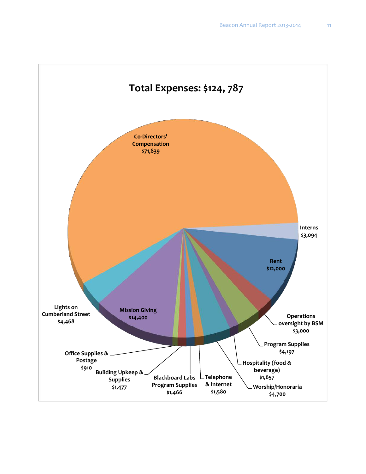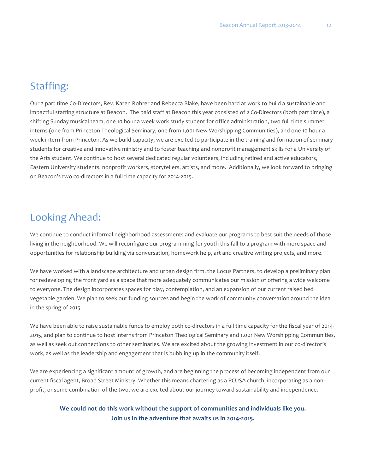### Staffing:

Our 2 part time Co-Directors, Rev. Karen Rohrer and Rebecca Blake, have been hard at work to build a sustainable and impactful staffing structure at Beacon. The paid staff at Beacon this year consisted of 2 Co-Directors (both part time), a shifting Sunday musical team, one 10 hour a week work study student for office administration, two full time summer interns (one from Princeton Theological Seminary, one from 1,001 New Worshipping Communities), and one 10 hour a week intern from Princeton. As we build capacity, we are excited to participate in the training and formation of seminary students for creative and innovative ministry and to foster teaching and nonprofit management skills for a University of the Arts student. We continue to host several dedicated regular volunteers, including retired and active educators, Eastern University students, nonprofit workers, storytellers, artists, and more. Additionally, we look forward to bringing on Beacon's two co-directors in a full time capacity for 2014-2015.

### Looking Ahead:

We continue to conduct informal neighborhood assessments and evaluate our programs to best suit the needs of those living in the neighborhood. We will reconfigure our programming for youth this fall to a program with more space and opportunities for relationship building via conversation, homework help, art and creative writing projects, and more.

We have worked with a landscape architecture and urban design firm, the Locus Partners, to develop a preliminary plan for redeveloping the front yard as a space that more adequately communicates our mission of offering a wide welcome to everyone. The design incorporates spaces for play, contemplation, and an expansion of our current raised bed vegetable garden. We plan to seek out funding sources and begin the work of community conversation around the idea in the spring of 2015.

We have been able to raise sustainable funds to employ both co-directors in a full time capacity for the fiscal year of 2014-2015, and plan to continue to host interns from Princeton Theological Seminary and 1,001 New Worshipping Communities, as well as seek out connections to other seminaries. We are excited about the growing investment in our co-director's work, as well as the leadership and engagement that is bubbling up in the community itself.

We are experiencing a significant amount of growth, and are beginning the process of becoming independent from our current fiscal agent, Broad Street Ministry. Whether this means chartering as a PCUSA church, incorporating as a nonprofit, or some combination of the two, we are excited about our journey toward sustainability and independence.

#### We could not do this work without the support of communities and individuals like you. Join us in the adventure that awaits us in 2014-2015.